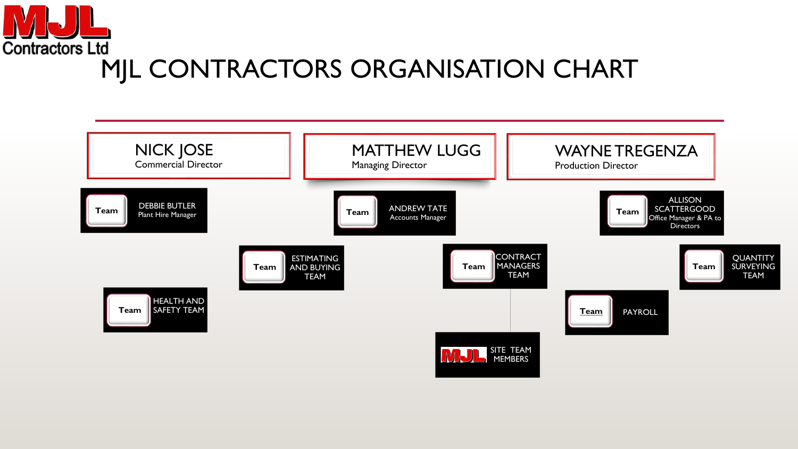<span id="page-0-0"></span>

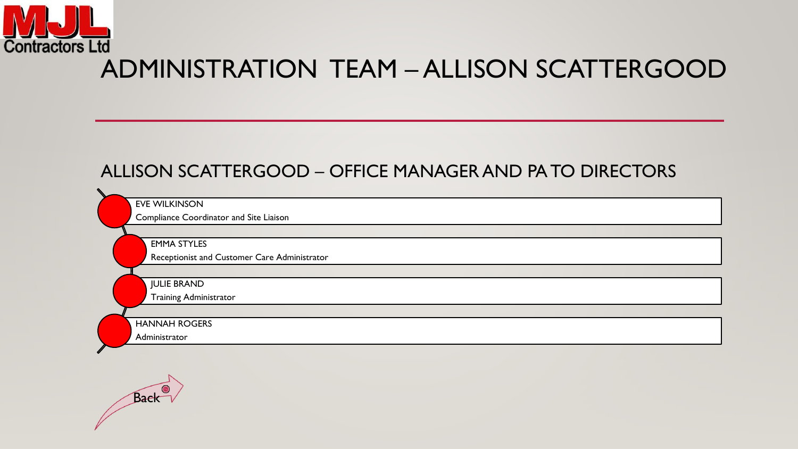<span id="page-1-0"></span>

### ADMINISTRATION TEAM – ALLISON SCATTERGOOD

### ALLISON SCATTERGOOD – OFFICE MANAGER AND PA TO DIRECTORS

| <b>EVE WILKINSON</b>                    |                                              |
|-----------------------------------------|----------------------------------------------|
| Compliance Coordinator and Site Liaison |                                              |
|                                         |                                              |
| <b>EMMA STYLES</b>                      |                                              |
|                                         | Receptionist and Customer Care Administrator |
|                                         |                                              |
| <b>JULIE BRAND</b>                      |                                              |
| <b>Training Administrator</b>           |                                              |
|                                         |                                              |
| <b>HANNAH ROGERS</b>                    |                                              |
| Administrator                           |                                              |
|                                         |                                              |

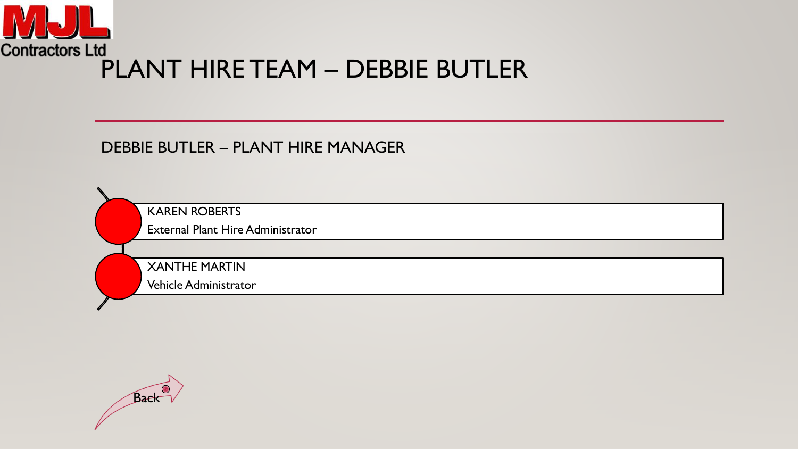<span id="page-2-0"></span>

#### DEBBIE BUTLER – PLANT HIRE MANAGER

KAREN ROBERTS

External Plant Hire Administrator

XANTHE MARTIN

Vehicle Administrator

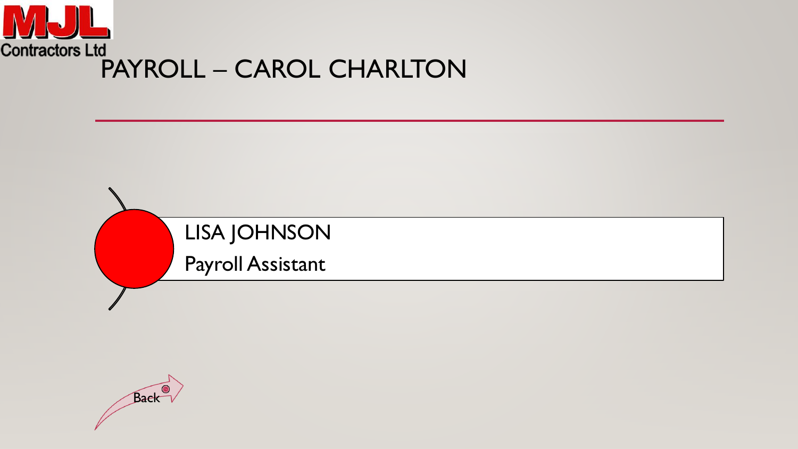<span id="page-3-0"></span>

# LISA JOHNSON

Payroll Assistant

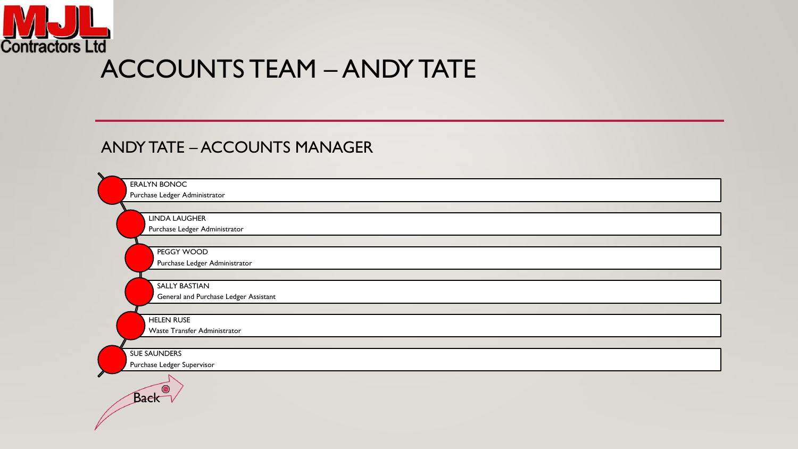<span id="page-4-0"></span>

#### ANDY TATE – ACCOUNTS MANAGER

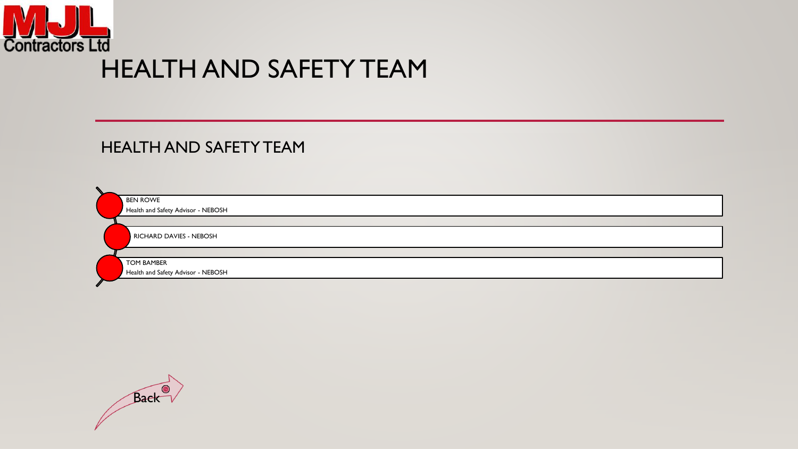<span id="page-5-0"></span>

### HEALTH AND SAFETY TEAM

#### HEALTH AND SAFETY TEAM

BEN ROWE Health and Safety Advisor - NEBOSH

RICHARD DAVIES - NEBOSH

TOM BAMBER

Health and Safety Advisor - NEBOSH

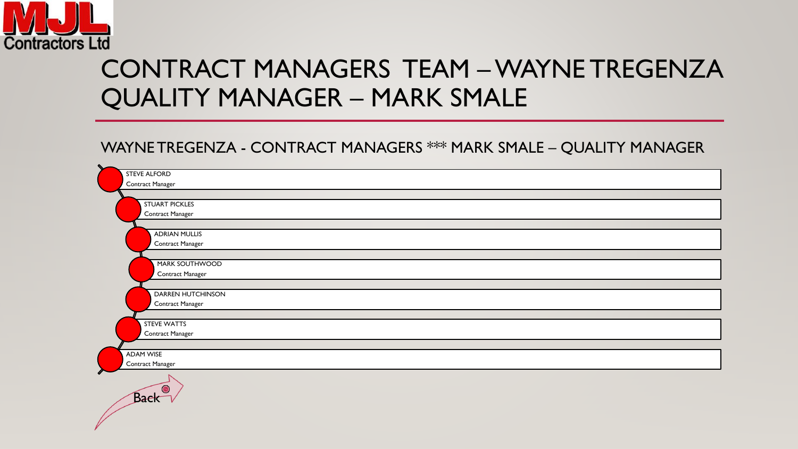<span id="page-6-0"></span>

## CONTRACT MANAGERS TEAM –WAYNE TREGENZA QUALITY MANAGER – MARK SMALE

#### WAYNE TREGENZA - CONTRACT MANAGERS \*\*\* MARK SMALE – QUALITY MANAGER

| $\sim$                |
|-----------------------|
| <b>STEVE ALFORD</b>   |
| Contract Manager      |
|                       |
| <b>STUART PICKLES</b> |
| Contract Manager      |
|                       |
| <b>ADRIAN MULLIS</b>  |
| Contract Manager      |
|                       |
| MARK SOUTHWOOD        |
| Contract Manager      |
|                       |
| DARREN HUTCHINSON     |
| Contract Manager      |
| <b>STEVE WATTS</b>    |
| Contract Manager      |
|                       |
| <b>ADAM WISE</b>      |
| Contract Manager      |
|                       |
|                       |
| G                     |
| Baek                  |
|                       |
|                       |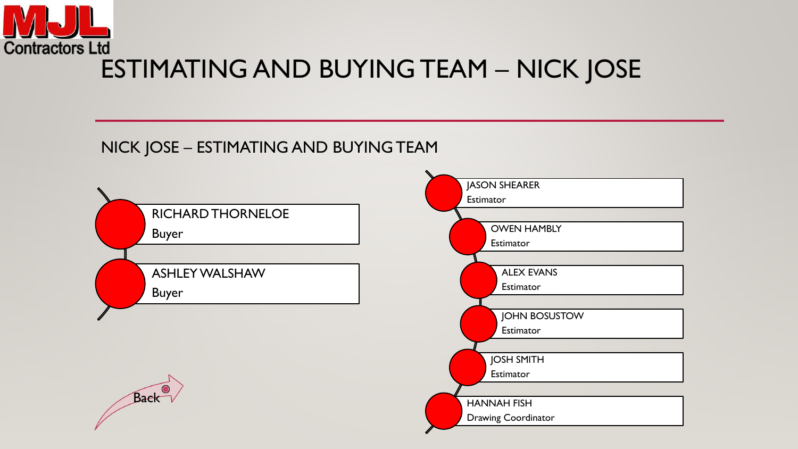<span id="page-7-0"></span>

#### NICK JOSE – ESTIMATING AND BUYING TEAM